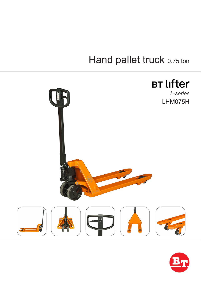## Hand pallet truck 0.75 ton



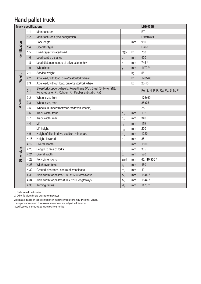## **Hand pallet truck**

| <b>Truck specifications</b> |      |                                                                                                                          |                  | LHM075H |                                 |
|-----------------------------|------|--------------------------------------------------------------------------------------------------------------------------|------------------|---------|---------------------------------|
| Identification              | 1.1  | Manufacturer                                                                                                             |                  |         | <b>BT</b>                       |
|                             | 1.2  | Manufacturer's type designation                                                                                          |                  |         | LHM075H                         |
|                             |      | Fork length                                                                                                              |                  | mm      | 950                             |
|                             | 1.4  | Operator type                                                                                                            |                  |         | Hand                            |
|                             | 1.5  | Load capacity/rated load                                                                                                 | Q(t)             | kg      | 750                             |
|                             | 1.6  | Load centre distance                                                                                                     | C                | mm      | 400                             |
|                             | 1.8  | Load distance, centre of drive axle to fork                                                                              | Χ                | mm      | $745$ <sup>1)</sup>             |
|                             | 1.9  | Wheelbase                                                                                                                | у                | mm      | $1170^{11}$                     |
| Weight                      | 2.1  | Service weight                                                                                                           |                  | kg      | 58                              |
|                             | 2.2  | Axle load, with load, drive/castor/fork wheel                                                                            |                  | kg      | 120/260                         |
|                             | 2.3  | Axle load, without load, drive/castor/fork wheel                                                                         |                  | kg      | $20 - 10$                       |
| <b>Wheels</b>               | 3.1  | Steer/fork/support wheels: Powerthane (Po), Steel (S) Nylon (N),<br>Polyurethane (P), Rubber (R), Rubber antistatic (Ra) |                  |         | Po, S, N, P, R, Ra/ Po, S, N, P |
|                             | 3.2  | Wheel size, front                                                                                                        |                  |         | 175x60                          |
|                             | 3.3  | Wheel size, rear                                                                                                         |                  |         | 85x75                           |
|                             | 3.5  | Wheels, number front/rear (x=driven wheels)                                                                              |                  |         | 2/2                             |
|                             | 3.6  | Track width, front                                                                                                       | $b_{10}$         | mm      | 132                             |
|                             | 3.7  | Track width, rear                                                                                                        | $b_{11}$         | mm      | 340                             |
| <b>Dimensions</b>           | 4.4  | Lift                                                                                                                     | h <sub>3</sub>   | mm      | 115                             |
|                             |      | Lift height                                                                                                              | $h_{23}$         | mm      | 200                             |
|                             | 4.9  | Height of tiller in drive position, min./max.                                                                            | $h_{14}$         | mm      | 1220                            |
|                             | 4.15 | Height, lowered                                                                                                          | $h_{13}$         | mm      | 85                              |
|                             | 4.19 | Overall length                                                                                                           | $I_{1}$          | mm      | 1500                            |
|                             | 4.20 | Length to face of forks                                                                                                  | $\mathsf{I}_{2}$ | mm      | 365                             |
|                             | 4.21 | Overall width                                                                                                            | b <sub>1</sub>   | mm      | 520                             |
|                             | 4.22 | Fork dimensions                                                                                                          | s/e/l            | mm      | 45/110/950 <sup>2)</sup>        |
|                             | 4.25 | Width over forks                                                                                                         | b <sub>5</sub>   | mm      | 450                             |
|                             | 4.32 | Ground clearance, centre of wheelbase                                                                                    | m <sub>2</sub>   | mm      | 40                              |
|                             | 4.33 | Aisle width for pallets 1000 x 1200 crossways                                                                            | A <sub>st</sub>  | mm      | $1544$ <sup>1)</sup>            |
|                             | 4.34 | Aisle width for pallets 800 x 1200 lengthways                                                                            | A <sub>st</sub>  | mm      | 1544 1)                         |
|                             | 4.35 | Turning radius                                                                                                           | $W_{a}$          | mm      | $1175$ <sup>1)</sup>            |

1) Distance with forks raised.

2) Other fork lengths are available on request.

All data are based on table configuration. Other configurations may give other values.

Truck performance and dimensions are nominal and subject to tolerances.

Specifications are subject to change without notice.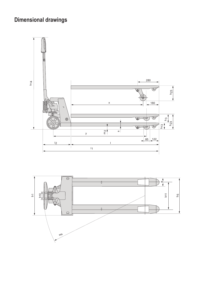## **Dimensional drawings**